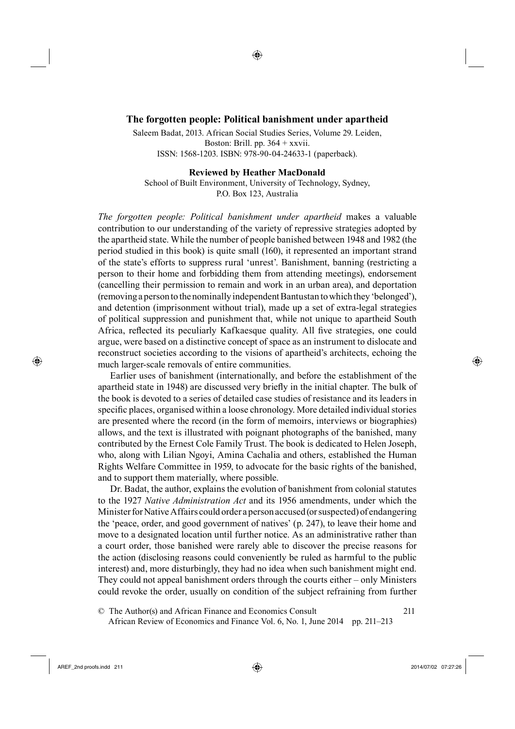## <sup>15</sup>**The forgotten people: Political banishment under apartheid**

◈

Saleem Badat, 2013. African Social Studies Series, Volume 29. Leiden, Boston: Brill. pp.  $364 +$ xxvii. ISSN: 1568-1203. ISBN: 978-90-04-24633-1 (paperback).

**Reviewed by Heather MacDonald**

School of Built Environment, University of Technology, Sydney, P.O. Box 123, Australia

*The forgotten people: Political banishment under apartheid* makes a valuable contribution to our understanding of the variety of repressive strategies adopted by the apartheid state. While the number of people banished between 1948 and 1982 (the period studied in this book) is quite small (160), it represented an important strand of the state's efforts to suppress rural 'unrest'. Banishment, banning (restricting a person to their home and forbidding them from attending meetings), endorsement (cancelling their permission to remain and work in an urban area), and deportation (removing a person to the nominally independent Bantustan to which they 'belonged'), and detention (imprisonment without trial), made up a set of extra-legal strategies of political suppression and punishment that, while not unique to apartheid South Africa, reflected its peculiarly Kafkaesque quality. All five strategies, one could argue, were based on a distinctive concept of space as an instrument to dislocate and reconstruct societies according to the visions of apartheid's architects, echoing the much larger-scale removals of entire communities.

Earlier uses of banishment (internationally, and before the establishment of the apartheid state in 1948) are discussed very briefly in the initial chapter. The bulk of the book is devoted to a series of detailed case studies of resistance and its leaders in specific places, organised within a loose chronology. More detailed individual stories are presented where the record (in the form of memoirs, interviews or biographies) allows, and the text is illustrated with poignant photographs of the banished, many contributed by the Ernest Cole Family Trust. The book is dedicated to Helen Joseph, who, along with Lilian Ngoyi, Amina Cachalia and others, established the Human Rights Welfare Committee in 1959, to advocate for the basic rights of the banished, and to support them materially, where possible.

Dr. Badat, the author, explains the evolution of banishment from colonial statutes to the 1927 *Native Administration Act* and its 1956 amendments, under which the Minister for Native Affairs could order a person accused (or suspected) of endangering the 'peace, order, and good government of natives' (p. 247), to leave their home and move to a designated location until further notice. As an administrative rather than a court order, those banished were rarely able to discover the precise reasons for the action (disclosing reasons could conveniently be ruled as harmful to the public interest) and, more disturbingly, they had no idea when such banishment might end. They could not appeal banishment orders through the courts either – only Ministers could revoke the order, usually on condition of the subject refraining from further

43© The Author(s) and African Finance and Economics Consult 211 African Review of Economics and Finance Vol. 6, No. 1, June 2014 pp. 211–213

⊕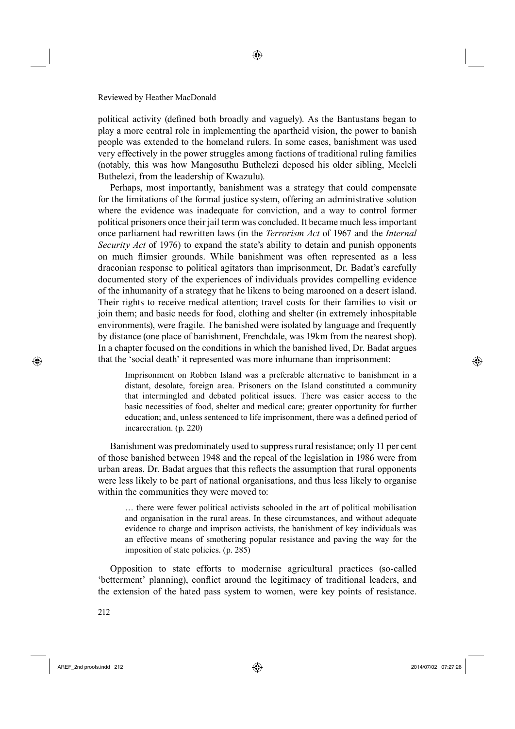## Reviewed by Heather MacDonald

political activity (defined both broadly and vaguely). As the Bantustans began to play a more central role in implementing the apartheid vision, the power to banish people was extended to the homeland rulers. In some cases, banishment was used very effectively in the power struggles among factions of traditional ruling families (notably, this was how Mangosuthu Buthelezi deposed his older sibling, Mceleli Buthelezi, from the leadership of Kwazulu).

Perhaps, most importantly, banishment was a strategy that could compensate for the limitations of the formal justice system, offering an administrative solution where the evidence was inadequate for conviction, and a way to control former political prisoners once their jail term was concluded. It became much less important once parliament had rewritten laws (in the *Terrorism Act* of 1967 and the *Internal Security Act* of 1976) to expand the state's ability to detain and punish opponents on much flimsier grounds. While banishment was often represented as a less draconian response to political agitators than imprisonment, Dr. Badat's carefully documented story of the experiences of individuals provides compelling evidence of the inhumanity of a strategy that he likens to being marooned on a desert island. Their rights to receive medical attention; travel costs for their families to visit or join them; and basic needs for food, clothing and shelter (in extremely inhospitable environments), were fragile. The banished were isolated by language and frequently by distance (one place of banishment, Frenchdale, was 19km from the nearest shop). In a chapter focused on the conditions in which the banished lived, Dr. Badat argues that the 'social death' it represented was more inhumane than imprisonment:

Imprisonment on Robben Island was a preferable alternative to banishment in a distant, desolate, foreign area. Prisoners on the Island constituted a community that intermingled and debated political issues. There was easier access to the basic necessities of food, shelter and medical care; greater opportunity for further education; and, unless sentenced to life imprisonment, there was a defined period of incarceration. (p. 220)

Banishment was predominately used to suppress rural resistance; only 11 per cent of those banished between 1948 and the repeal of the legislation in 1986 were from urban areas. Dr. Badat argues that this reflects the assumption that rural opponents were less likely to be part of national organisations, and thus less likely to organise within the communities they were moved to:

… there were fewer political activists schooled in the art of political mobilisation and organisation in the rural areas. In these circumstances, and without adequate evidence to charge and imprison activists, the banishment of key individuals was an effective means of smothering popular resistance and paving the way for the imposition of state policies. (p. 285)

291Opposition to state efforts to modernise agricultural practices (so-called 'betterment' planning), conflict around the legitimacy of traditional leaders, and the extension of the hated pass system to women, were key points of resistance.

 $\bigoplus$  AREF\_2nd proofs.indd 212 2014/07/02 07:27:26

⊕

⊕